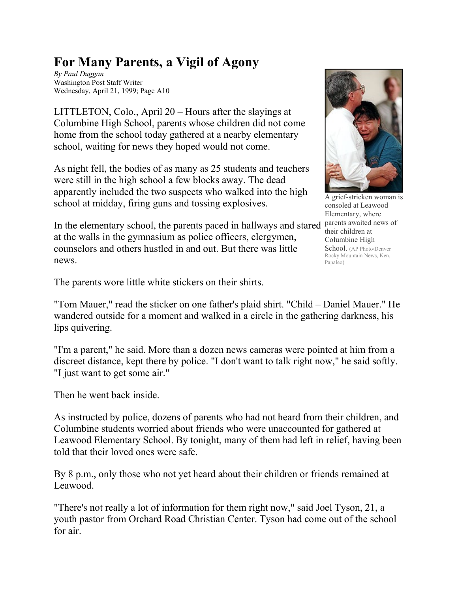## **For Many Parents, a Vigil of Agony**

*By Paul Duggan* Washington Post Staff Writer Wednesday, April 21, 1999; Page A10

LITTLETON, Colo., April 20 – Hours after the slayings at Columbine High School, parents whose children did not come home from the school today gathered at a nearby elementary school, waiting for news they hoped would not come.

As night fell, the bodies of as many as 25 students and teachers were still in the high school a few blocks away. The dead apparently included the two suspects who walked into the high school at midday, firing guns and tossing explosives.

In the elementary school, the parents paced in hallways and stared parents awaited news of at the walls in the gymnasium as police officers, clergymen, counselors and others hustled in and out. But there was little news.



grief-stricken woman is consoled at Leawood Elementary, where their children at Columbine High School. (AP Photo/Denver Rocky Mountain News, Ken, Papaleo)

The parents wore little white stickers on their shirts.

"Tom Mauer," read the sticker on one father's plaid shirt. "Child – Daniel Mauer." He wandered outside for a moment and walked in a circle in the gathering darkness, his lips quivering.

"I'm a parent," he said. More than a dozen news cameras were pointed at him from a discreet distance, kept there by police. "I don't want to talk right now," he said softly. "I just want to get some air."

Then he went back inside.

As instructed by police, dozens of parents who had not heard from their children, and Columbine students worried about friends who were unaccounted for gathered at Leawood Elementary School. By tonight, many of them had left in relief, having been told that their loved ones were safe.

By 8 p.m., only those who not yet heard about their children or friends remained at Leawood.

"There's not really a lot of information for them right now," said Joel Tyson, 21, a youth pastor from Orchard Road Christian Center. Tyson had come out of the school for air.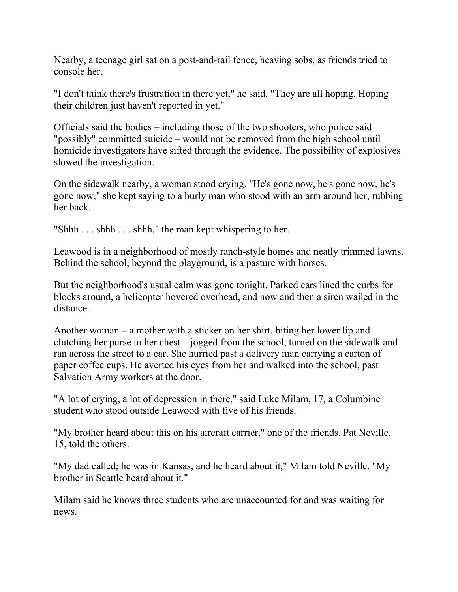Nearby, a teenage girl sat on a post-and-rail fence, heaving sobs, as friends tried to console her.

"I don't think there's frustration in there yet," he said. "They are all hoping. Hoping their children just haven't reported in yet."

Officials said the bodies – including those of the two shooters, who police said "possibly" committed suicide – would not be removed from the high school until homicide investigators have sifted through the evidence. The possibility of explosives slowed the investigation.

On the sidewalk nearby, a woman stood crying. "He's gone now, he's gone now, he's gone now," she kept saying to a burly man who stood with an arm around her, rubbing her back.

"Shhh  $\ldots$  shhh  $\ldots$  shhh," the man kept whispering to her.

Leawood is in a neighborhood of mostly ranch-style homes and neatly trimmed lawns. Behind the school, beyond the playground, is a pasture with horses.

But the neighborhood's usual calm was gone tonight. Parked cars lined the curbs for blocks around, a helicopter hovered overhead, and now and then a siren wailed in the distance.

Another woman – a mother with a sticker on her shirt, biting her lower lip and clutching her purse to her chest – jogged from the school, turned on the sidewalk and ran across the street to a car. She hurried past a delivery man carrying a carton of paper coffee cups. He averted his eyes from her and walked into the school, past Salvation Army workers at the door.

"A lot of crying, a lot of depression in there," said Luke Milam, 17, a Columbine student who stood outside Leawood with five of his friends.

"My brother heard about this on his aircraft carrier," one of the friends, Pat Neville, 15, told the others.

"My dad called; he was in Kansas, and he heard about it," Milam told Neville. "My brother in Seattle heard about it."

Milam said he knows three students who are unaccounted for and was waiting for news.